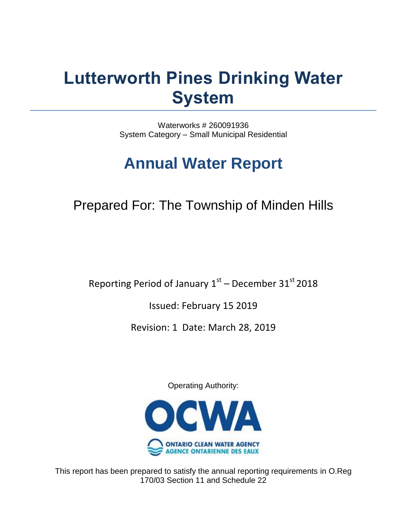# **Lutterworth Pines Drinking Water System**

Waterworks # 260091936 System Category – Small Municipal Residential

# **Annual Water Report**

# Prepared For: The Township of Minden Hills

Reporting Period of January  $1^\text{st}$  – December 3 $1^\text{st}$  2018

Issued: February 15 2019

Revision: 1 Date: March 28, 2019

Operating Authority:



This report has been prepared to satisfy the annual reporting requirements in O.Reg 170/03 Section 11 and Schedule 22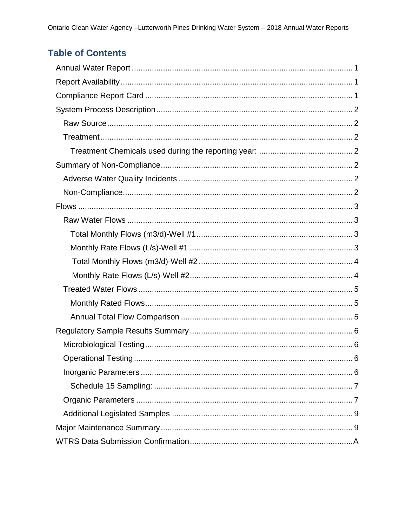# **Table of Contents**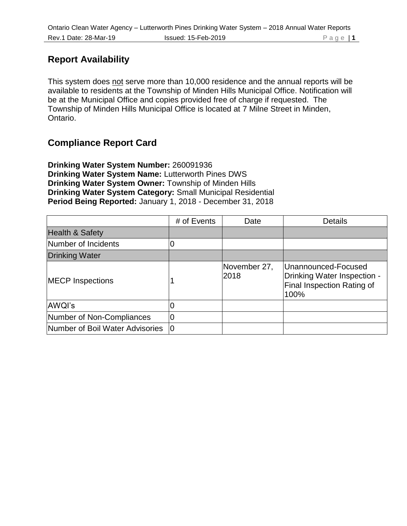# **Report Availability**

This system does not serve more than 10,000 residence and the annual reports will be available to residents at the Township of Minden Hills Municipal Office. Notification will be at the Municipal Office and copies provided free of charge if requested. The Township of Minden Hills Municipal Office is located at 7 Milne Street in Minden, Ontario.

# **Compliance Report Card**

**Drinking Water System Number:** 260091936 **Drinking Water System Name:** Lutterworth Pines DWS **Drinking Water System Owner:** Township of Minden Hills **Drinking Water System Category:** Small Municipal Residential **Period Being Reported:** January 1, 2018 - December 31, 2018

|                                 | # of Events | Date                 | <b>Details</b>                                                                                  |
|---------------------------------|-------------|----------------------|-------------------------------------------------------------------------------------------------|
| <b>Health &amp; Safety</b>      |             |                      |                                                                                                 |
| Number of Incidents             |             |                      |                                                                                                 |
| <b>Drinking Water</b>           |             |                      |                                                                                                 |
| <b>MECP Inspections</b>         |             | November 27,<br>2018 | Unannounced-Focused<br>Drinking Water Inspection -<br><b>Final Inspection Rating of</b><br>100% |
| AWQI's                          |             |                      |                                                                                                 |
| Number of Non-Compliances       |             |                      |                                                                                                 |
| Number of Boil Water Advisories | ١O          |                      |                                                                                                 |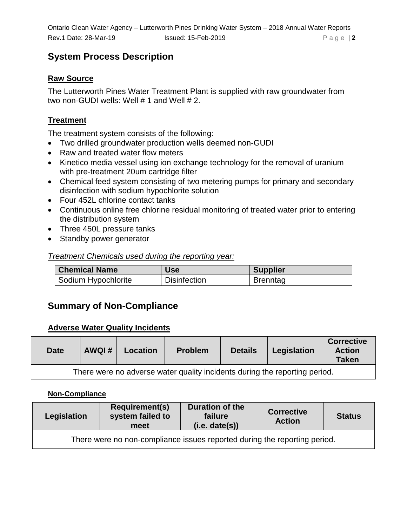### **System Process Description**

#### **Raw Source**

The Lutterworth Pines Water Treatment Plant is supplied with raw groundwater from two non-GUDI wells: Well # 1 and Well # 2.

#### **Treatment**

The treatment system consists of the following:

- Two drilled groundwater production wells deemed non-GUDI
- Raw and treated water flow meters
- Kinetico media vessel using ion exchange technology for the removal of uranium with pre-treatment 20um cartridge filter
- Chemical feed system consisting of two metering pumps for primary and secondary disinfection with sodium hypochlorite solution
- Four 452L chlorine contact tanks
- Continuous online free chlorine residual monitoring of treated water prior to entering the distribution system
- Three 450L pressure tanks
- Standby power generator

#### *Treatment Chemicals used during the reporting year:*

| <b>Chemical Name</b> | <b>Use</b>          | <b>Supplier</b> |
|----------------------|---------------------|-----------------|
| Sodium Hypochlorite  | <b>Disinfection</b> | <b>Brenntag</b> |

# **Summary of Non-Compliance**

#### **Adverse Water Quality Incidents**

| <b>Date</b>                                                                | AWQI# | Location | <b>Problem</b> | <b>Details</b> | Legislation | <b>Corrective</b><br><b>Action</b><br><b>Taken</b> |  |  |  |  |
|----------------------------------------------------------------------------|-------|----------|----------------|----------------|-------------|----------------------------------------------------|--|--|--|--|
| There were no adverse water quality incidents during the reporting period. |       |          |                |                |             |                                                    |  |  |  |  |

#### **Non-Compliance**

| Legislation | <b>Requirement(s)</b><br>system failed to<br>meet                         | Duration of the<br>failure<br>(i.e. date(s)) | <b>Corrective</b><br><b>Action</b> | <b>Status</b> |  |  |  |  |  |  |
|-------------|---------------------------------------------------------------------------|----------------------------------------------|------------------------------------|---------------|--|--|--|--|--|--|
|             | There were no non-compliance issues reported during the reporting period. |                                              |                                    |               |  |  |  |  |  |  |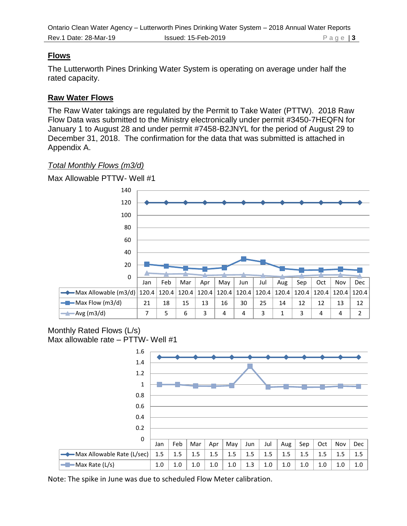#### **Flows**

The Lutterworth Pines Drinking Water System is operating on average under half the rated capacity.

#### **Raw Water Flows**

The Raw Water takings are regulated by the Permit to Take Water (PTTW). 2018 Raw Flow Data was submitted to the Ministry electronically under permit #3450-7HEQFN for January 1 to August 28 and under permit #7458-B2JNYL for the period of August 29 to December 31, 2018. The confirmation for the data that was submitted is attached in Appendix A.

#### *Total Monthly Flows (m3/d)*



#### Monthly Rated Flows (L/s) Max allowable rate – PTTW- Well #1

| 1.6                        |     |     |     |     |     |     |     |     |         |         |     |         |
|----------------------------|-----|-----|-----|-----|-----|-----|-----|-----|---------|---------|-----|---------|
| 1.4                        |     |     |     |     |     |     |     |     |         |         |     |         |
| 1.2                        |     |     |     |     |     |     |     |     |         |         |     |         |
| 1                          |     |     |     |     |     |     |     |     |         |         |     |         |
| 0.8                        |     |     |     |     |     |     |     |     |         |         |     |         |
| 0.6                        |     |     |     |     |     |     |     |     |         |         |     |         |
| 0.4                        |     |     |     |     |     |     |     |     |         |         |     |         |
| 0.2                        |     |     |     |     |     |     |     |     |         |         |     |         |
| $\mathbf 0$                |     |     |     |     |     |     |     |     |         |         |     |         |
|                            | Jan | Feb | Mar | Apr | May | Jun | Jul | Aug | Sep     | Oct     | Nov | Dec     |
| Max Allowable Rate (L/sec) | 1.5 | 1.5 | 1.5 | 1.5 | 1.5 | 1.5 | 1.5 | 1.5 | 1.5     | 1.5     | 1.5 | 1.5     |
| -Max Rate (L/s)<br>$-9-$   | 1.0 | 1.0 | 1.0 | 1.0 | 1.0 | 1.3 | 1.0 | 1.0 | $1.0\,$ | $1.0\,$ | 1.0 | $1.0\,$ |

Note: The spike in June was due to scheduled Flow Meter calibration.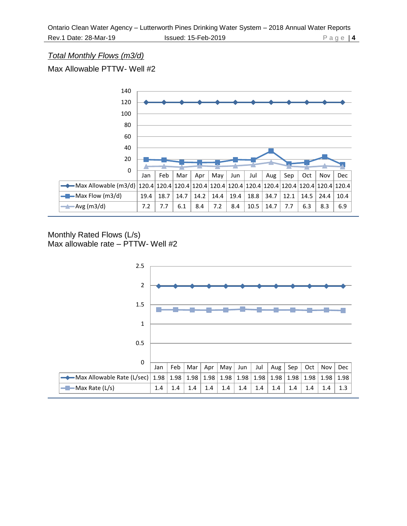#### *Total Monthly Flows (m3/d)*

Max Allowable PTTW- Well #2



#### Monthly Rated Flows (L/s) Max allowable rate – PTTW- Well #2

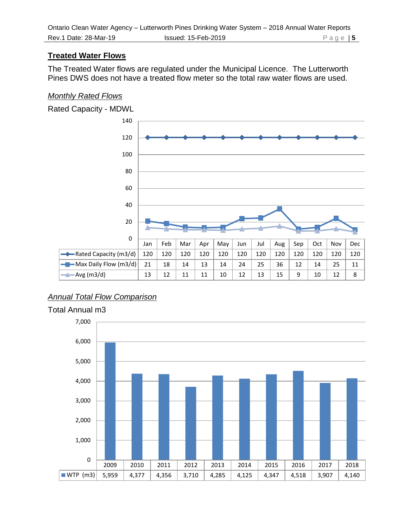#### **Treated Water Flows**

The Treated Water flows are regulated under the Municipal Licence. The Lutterworth Pines DWS does not have a treated flow meter so the total raw water flows are used.

#### *Monthly Rated Flows*



### *Annual Total Flow Comparison*

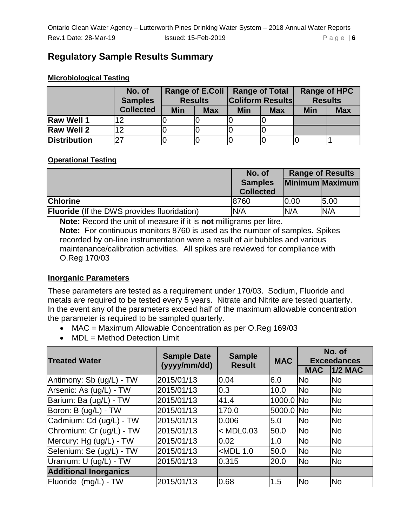# **Regulatory Sample Results Summary**

#### **Microbiological Testing**

|                     | No. of<br><b>Samples</b> | <b>Range of E.Coli</b><br><b>Results</b> |            | <b>Range of Total</b> | <b>Coliform Results</b> | Range of HPC<br><b>Results</b> |            |
|---------------------|--------------------------|------------------------------------------|------------|-----------------------|-------------------------|--------------------------------|------------|
|                     | <b>Collected</b>         | <b>Min</b>                               | <b>Max</b> | <b>Min</b>            | <b>Max</b>              | <b>Min</b>                     | <b>Max</b> |
| <b>Raw Well 1</b>   |                          |                                          |            |                       |                         |                                |            |
| <b>Raw Well 2</b>   |                          |                                          |            |                       |                         |                                |            |
| <b>Distribution</b> |                          |                                          |            |                       |                         |                                |            |

#### **Operational Testing**

|                                                    | No. of                             | <b>Range of Results</b> |                 |  |
|----------------------------------------------------|------------------------------------|-------------------------|-----------------|--|
|                                                    | <b>Samples</b><br><b>Collected</b> |                         | Minimum Maximum |  |
| <b>Chlorine</b>                                    | 18760                              | 0.00                    | 5.00            |  |
| <b>Fluoride</b> (If the DWS provides fluoridation) | N/A                                | N/A                     | N/A             |  |

**Note:** Record the unit of measure if it is **not** milligrams per litre. **Note:** For continuous monitors 8760 is used as the number of samples**.** Spikes recorded by on-line instrumentation were a result of air bubbles and various maintenance/calibration activities. All spikes are reviewed for compliance with O.Reg 170/03

#### **Inorganic Parameters**

These parameters are tested as a requirement under 170/03. Sodium, Fluoride and metals are required to be tested every 5 years. Nitrate and Nitrite are tested quarterly. In the event any of the parameters exceed half of the maximum allowable concentration the parameter is required to be sampled quarterly.

- MAC = Maximum Allowable Concentration as per O.Reg 169/03
- MDL = Method Detection Limit

|                              |                    |                                |            | No. of             |                |  |
|------------------------------|--------------------|--------------------------------|------------|--------------------|----------------|--|
| <b>Treated Water</b>         | <b>Sample Date</b> | <b>Sample</b><br><b>Result</b> | <b>MAC</b> | <b>Exceedances</b> |                |  |
|                              | (yyyy/mm/dd)       |                                |            | <b>MAC</b>         | <b>1/2 MAC</b> |  |
| Antimony: Sb (ug/L) - TW     | 2015/01/13         | 0.04                           | 6.0        | <b>No</b>          | <b>No</b>      |  |
| Arsenic: As (ug/L) - TW      | 2015/01/13         | 0.3                            | 10.0       | <b>No</b>          | <b>No</b>      |  |
| Barium: Ba (ug/L) - TW       | 2015/01/13         | 41.4                           | 1000.0 No  |                    | <b>No</b>      |  |
| Boron: B (ug/L) - TW         | 2015/01/13         | 170.0                          | 5000.0 No  |                    | <b>No</b>      |  |
| Cadmium: Cd (ug/L) - TW      | 2015/01/13         | 0.006                          | 5.0        | <b>No</b>          | <b>No</b>      |  |
| Chromium: Cr (ug/L) - TW     | 2015/01/13         | $<$ MDL0.03                    | 50.0       | <b>No</b>          | <b>No</b>      |  |
| Mercury: Hg (ug/L) - TW      | 2015/01/13         | 0.02                           | 1.0        | <b>No</b>          | <b>No</b>      |  |
| Selenium: Se (ug/L) - TW     | 2015/01/13         | $<$ MDL 1.0                    | 50.0       | <b>No</b>          | <b>No</b>      |  |
| Uranium: U (ug/L) - TW       | 2015/01/13         | 0.315                          | 20.0       | <b>No</b>          | <b>No</b>      |  |
| <b>Additional Inorganics</b> |                    |                                |            |                    |                |  |
| Fluoride (mg/L) - TW         | 2015/01/13         | 0.68                           | 1.5        | <b>No</b>          | <b>No</b>      |  |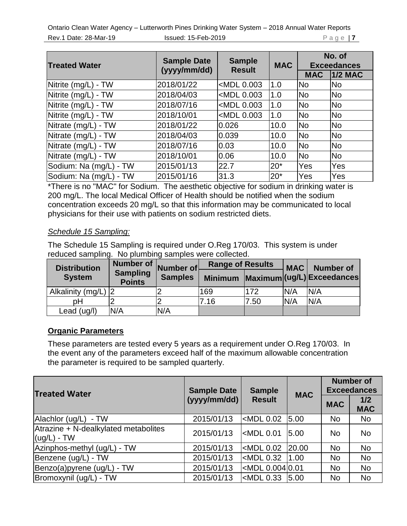Ontario Clean Water Agency – Lutterworth Pines Drinking Water System – 2018 Annual Water Reports **Rev.1 Date: 28-Mar-19** Issued: 15-Feb-2019 P a g e | **7** 

| <b>Treated Water</b>   | <b>Sample Date</b><br><b>Sample</b><br>(yyyy/mm/dd)<br><b>Result</b> |                                                                             | <b>MAC</b> | No. of<br><b>Exceedances</b> |            |
|------------------------|----------------------------------------------------------------------|-----------------------------------------------------------------------------|------------|------------------------------|------------|
|                        |                                                                      |                                                                             |            | <b>MAC</b>                   | $1/2$ MAC  |
| Nitrite (mg/L) - TW    | 2018/01/22                                                           | <mdl 0.003<="" td=""><td>1.0</td><td><b>No</b></td><td><b>No</b></td></mdl> | 1.0        | <b>No</b>                    | <b>No</b>  |
| Nitrite (mg/L) - TW    | 2018/04/03                                                           | <mdl 0.003<="" td=""><td>1.0</td><td><b>No</b></td><td><b>No</b></td></mdl> | 1.0        | <b>No</b>                    | <b>No</b>  |
| Nitrite (mg/L) - TW    | 2018/07/16                                                           | <mdl 0.003<="" td=""><td>1.0</td><td><b>No</b></td><td><b>No</b></td></mdl> | 1.0        | <b>No</b>                    | <b>No</b>  |
| Nitrite (mg/L) - TW    | 2018/10/01                                                           | <mdl 0.003<="" td=""><td>1.0</td><td><b>No</b></td><td><b>No</b></td></mdl> | 1.0        | <b>No</b>                    | <b>No</b>  |
| Nitrate (mg/L) - TW    | 2018/01/22                                                           | 0.026                                                                       | 10.0       | <b>No</b>                    | <b>INo</b> |
| Nitrate (mg/L) - TW    | 2018/04/03                                                           | 0.039                                                                       | 10.0       | <b>No</b>                    | <b>No</b>  |
| Nitrate (mg/L) - TW    | 2018/07/16                                                           | 0.03                                                                        | 10.0       | <b>No</b>                    | <b>No</b>  |
| Nitrate (mg/L) - TW    | 2018/10/01                                                           | 0.06                                                                        | 10.0       | <b>No</b>                    | <b>No</b>  |
| Sodium: Na (mg/L) - TW | 2015/01/13                                                           | 22.7                                                                        | $20*$      | Yes                          | Yes        |
| Sodium: Na (mg/L) - TW | 2015/01/16                                                           | 31.3                                                                        | $20*$      | Yes                          | <b>Yes</b> |

\*There is no "MAC" for Sodium. The aesthetic objective for sodium in drinking water is 200 mg/L. The local Medical Officer of Health should be notified when the sodium concentration exceeds 20 mg/L so that this information may be communicated to local physicians for their use with patients on sodium restricted diets.

#### *Schedule 15 Sampling:*

The Schedule 15 Sampling is required under O.Reg 170/03. This system is under reduced sampling. No plumbing samples were collected.

| <b>Distribution</b> | Number of $\vert$ ,              | Number of      | <b>Range of Results</b> |      | <b>MAC</b> | Number of                  |
|---------------------|----------------------------------|----------------|-------------------------|------|------------|----------------------------|
| <b>System</b>       | <b>Sampling</b><br><b>Points</b> | <b>Samples</b> | <b>Minimum</b>          |      |            | Maximum (ug/L) Exceedances |
| Alkalinity (mg/L) 2 |                                  |                | 169                     | 172  | N/A        | N/A                        |
| рH                  |                                  |                | 7.16                    | 7.50 | N/A        | N/A                        |
| Lead (ug/l)         | N/A                              | N/A            |                         |      |            |                            |

#### **Organic Parameters**

These parameters are tested every 5 years as a requirement under O.Reg 170/03. In the event any of the parameters exceed half of the maximum allowable concentration the parameter is required to be sampled quarterly.

| <b>Treated Water</b>                                  | <b>Sample Date</b> | <b>Sample</b>                                                                   | <b>MAC</b> | <b>Number of</b><br><b>Exceedances</b> |                   |
|-------------------------------------------------------|--------------------|---------------------------------------------------------------------------------|------------|----------------------------------------|-------------------|
|                                                       | (yyyy/mm/dd)       | <b>Result</b>                                                                   |            | <b>MAC</b>                             | 1/2<br><b>MAC</b> |
| Alachlor (ug/L)<br>- TW                               | 2015/01/13         | <mdl 0.02<="" td=""><td>5.00</td><td><b>No</b></td><td><b>No</b></td></mdl>     | 5.00       | <b>No</b>                              | <b>No</b>         |
| Atrazine + N-dealkylated metabolites<br>$(ug/L)$ - TW | 2015/01/13         | $\mathsf{\sim}$ MDL 0.01                                                        | 5.00       | <b>No</b>                              | <b>No</b>         |
| Azinphos-methyl (ug/L) - TW                           | 2015/01/13         | <mdl 0.02<="" td=""><td> 20.00</td><td><b>No</b></td><td><b>No</b></td></mdl>   | 20.00      | <b>No</b>                              | <b>No</b>         |
| Benzene (ug/L) - TW                                   | 2015/01/13         | $ $ <mdl 0.32<="" td=""><td>1.00</td><td><b>No</b></td><td><b>No</b></td></mdl> | 1.00       | <b>No</b>                              | <b>No</b>         |
| Benzo(a)pyrene (ug/L) - TW                            | 2015/01/13         | kMDL  0.004  0.01                                                               |            | <b>No</b>                              | <b>No</b>         |
| Bromoxynil (ug/L) - TW                                | 2015/01/13         | $\epsilon$ MDL 0.33                                                             | 5.00       | <b>No</b>                              | <b>No</b>         |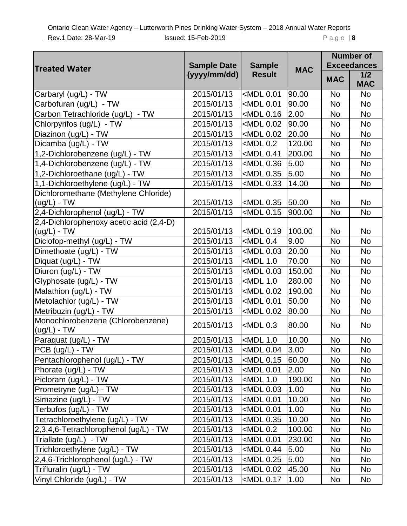| <b>Treated Water</b>                                     | <b>Sample Date</b><br>(yyyy/mm/dd) | <b>Sample</b><br><b>Result</b>                                                | <b>MAC</b> | <b>Number of</b><br><b>Exceedances</b> |                   |
|----------------------------------------------------------|------------------------------------|-------------------------------------------------------------------------------|------------|----------------------------------------|-------------------|
|                                                          |                                    |                                                                               |            | <b>MAC</b>                             | 1/2<br><b>MAC</b> |
| Carbaryl (ug/L) - TW                                     | 2015/01/13                         | <mdl 0.01<="" td=""><td>90.00</td><td>No</td><td><b>No</b></td></mdl>         | 90.00      | No                                     | <b>No</b>         |
| Carbofuran (ug/L) - TW                                   | 2015/01/13                         | <mdl 0.01<="" td=""><td>90.00</td><td><b>No</b></td><td><b>No</b></td></mdl>  | 90.00      | <b>No</b>                              | <b>No</b>         |
| Carbon Tetrachloride (ug/L) - TW                         | 2015/01/13                         | <mdl 0.16<="" td=""><td>2.00</td><td>No</td><td><b>No</b></td></mdl>          | 2.00       | No                                     | <b>No</b>         |
| Chlorpyrifos (ug/L) - TW                                 | 2015/01/13                         | <mdl 0.02<="" td=""><td>90.00</td><td><b>No</b></td><td><b>No</b></td></mdl>  | 90.00      | <b>No</b>                              | <b>No</b>         |
| Diazinon (ug/L) - TW                                     | 2015/01/13                         | <mdl 0.02<="" td=""><td>20.00</td><td>No</td><td><b>No</b></td></mdl>         | 20.00      | No                                     | <b>No</b>         |
| Dicamba (ug/L) - TW                                      | 2015/01/13                         | $<$ MDL 0.2                                                                   | 120.00     | <b>No</b>                              | <b>No</b>         |
| 1,2-Dichlorobenzene (ug/L) - TW                          | 2015/01/13                         | <mdl 0.41<="" td=""><td>200.00</td><td>No</td><td><b>No</b></td></mdl>        | 200.00     | No                                     | <b>No</b>         |
| 1,4-Dichlorobenzene (ug/L) - TW                          | 2015/01/13                         | <mdl 0.36<="" td=""><td>5.00</td><td><b>No</b></td><td><b>No</b></td></mdl>   | 5.00       | <b>No</b>                              | <b>No</b>         |
| 1,2-Dichloroethane (ug/L) - TW                           | 2015/01/13                         | <mdl 0.35<="" td=""><td>5.00</td><td>No</td><td>No</td></mdl>                 | 5.00       | No                                     | No                |
| 1,1-Dichloroethylene (ug/L) - TW                         | 2015/01/13                         | <mdl 0.33<="" td=""><td>14.00</td><td><b>No</b></td><td><b>No</b></td></mdl>  | 14.00      | <b>No</b>                              | <b>No</b>         |
| Dichloromethane (Methylene Chloride)                     |                                    |                                                                               |            |                                        |                   |
| $(ug/L)$ - TW                                            | 2015/01/13                         | <mdl 0.35<="" td=""><td>50.00</td><td><b>No</b></td><td>No</td></mdl>         | 50.00      | <b>No</b>                              | No                |
| 2,4-Dichlorophenol (ug/L) - TW                           | 2015/01/13                         | <mdl 0.15<="" td=""><td>900.00</td><td>No</td><td><b>No</b></td></mdl>        | 900.00     | No                                     | <b>No</b>         |
| 2,4-Dichlorophenoxy acetic acid (2,4-D)<br>$(ug/L) - TW$ | 2015/01/13                         | <mdl 0.19<="" td=""><td>100.00</td><td>No</td><td>No</td></mdl>               | 100.00     | No                                     | No                |
| Diclofop-methyl (ug/L) - TW                              | 2015/01/13                         | $<$ MDL 0.4                                                                   | 9.00       | No                                     | <b>No</b>         |
| Dimethoate (ug/L) - TW                                   | 2015/01/13                         | <mdl 0.03<="" td=""><td>20.00</td><td><b>No</b></td><td><b>No</b></td></mdl>  | 20.00      | <b>No</b>                              | <b>No</b>         |
| Diquat (ug/L) - TW                                       | 2015/01/13                         | $<$ MDL 1.0                                                                   | 70.00      | No                                     | <b>No</b>         |
| Diuron (ug/L) - TW                                       | 2015/01/13                         | <mdl 0.03<="" td=""><td>150.00</td><td><b>No</b></td><td><b>No</b></td></mdl> | 150.00     | <b>No</b>                              | <b>No</b>         |
| Glyphosate (ug/L) - TW                                   | 2015/01/13                         | $<$ MDL 1.0                                                                   | 280.00     | No                                     | <b>No</b>         |
| Malathion (ug/L) - TW                                    | 2015/01/13                         | <mdl 0.02<="" td=""><td>190.00</td><td><b>No</b></td><td><b>No</b></td></mdl> | 190.00     | <b>No</b>                              | <b>No</b>         |
| Metolachlor (ug/L) - TW                                  | 2015/01/13                         | <mdl 0.01<="" td=""><td>50.00</td><td>No</td><td><b>No</b></td></mdl>         | 50.00      | No                                     | <b>No</b>         |
| Metribuzin (ug/L) - TW                                   | 2015/01/13                         | <mdl 0.02<="" td=""><td>80.00</td><td><b>No</b></td><td><b>No</b></td></mdl>  | 80.00      | <b>No</b>                              | <b>No</b>         |
| Monochlorobenzene (Chlorobenzene)                        |                                    |                                                                               |            |                                        |                   |
| $(ug/L) - TW$                                            | 2015/01/13                         | $<$ MDL 0.3                                                                   | 80.00      | No                                     | No                |
| Paraquat (ug/L) - TW                                     | 2015/01/13                         | <mdl 1.0<="" td=""><td>10.00</td><td><b>No</b></td><td><b>No</b></td></mdl>   | 10.00      | <b>No</b>                              | <b>No</b>         |
| PCB (ug/L) - TW                                          | 2015/01/13                         |                                                                               | 3.00       | No                                     | No.               |
| Pentachlorophenol (ug/L) - TW                            | 2015/01/13                         | <mdl 0.15<="" td=""><td>60.00</td><td><b>No</b></td><td>No</td></mdl>         | 60.00      | <b>No</b>                              | No                |
| Phorate (ug/L) - TW                                      | 2015/01/13                         | <mdl 0.01<="" td=""><td>2.00</td><td>No</td><td>No</td></mdl>                 | 2.00       | No                                     | No                |
| Picloram (ug/L) - TW                                     | 2015/01/13                         | $<$ MDL 1.0                                                                   | 190.00     | <b>No</b>                              | No                |
| Prometryne (ug/L) - TW                                   | 2015/01/13                         | <mdl 0.03<="" td=""><td>1.00</td><td><b>No</b></td><td>No</td></mdl>          | 1.00       | <b>No</b>                              | No                |
| Simazine (ug/L) - TW                                     | 2015/01/13                         | <mdl 0.01<="" td=""><td>10.00</td><td><b>No</b></td><td>No</td></mdl>         | 10.00      | <b>No</b>                              | No                |
| Terbufos (ug/L) - TW                                     | 2015/01/13                         | <mdl 0.01<="" td=""><td>1.00</td><td>No</td><td>No</td></mdl>                 | 1.00       | No                                     | No                |
| Tetrachloroethylene (ug/L) - TW                          | 2015/01/13                         | <mdl 0.35<="" td=""><td>10.00</td><td><b>No</b></td><td>No</td></mdl>         | 10.00      | <b>No</b>                              | No                |
| 2,3,4,6-Tetrachlorophenol (ug/L) - TW                    | 2015/01/13                         | <mdl 0.2<="" td=""><td>100.00</td><td><b>No</b></td><td>No.</td></mdl>        | 100.00     | <b>No</b>                              | No.               |
| Triallate (ug/L) - TW                                    | 2015/01/13                         | <mdl 0.01<="" td=""><td>230.00</td><td><b>No</b></td><td>No</td></mdl>        | 230.00     | <b>No</b>                              | No                |
| Trichloroethylene (ug/L) - TW                            | 2015/01/13                         | <mdl 0.44<="" td=""><td> 5.00 </td><td>No</td><td>No</td></mdl>               | 5.00       | No                                     | No                |
| $ 2,4,6$ -Trichlorophenol (ug/L) - TW                    | 2015/01/13                         | <mdl 0.25<="" td=""><td>5.00</td><td><b>No</b></td><td>No</td></mdl>          | 5.00       | <b>No</b>                              | No                |
| Trifluralin (ug/L) - TW                                  | 2015/01/13                         | <mdl 0.02<="" td=""><td>45.00</td><td>No</td><td>No</td></mdl>                | 45.00      | No                                     | No                |
| Vinyl Chloride (ug/L) - TW                               | 2015/01/13                         | <mdl 0.17<="" td=""><td>1.00</td><td>No</td><td>No</td></mdl>                 | 1.00       | No                                     | No                |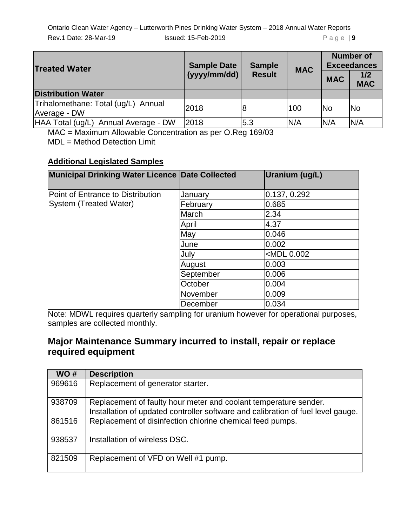| <b>Treated Water</b>                                | <b>Sample Date</b><br>(yyyy/mm/dd) | <b>Sample</b><br><b>Result</b> | <b>MAC</b> | <b>MAC</b> | <b>Number of</b><br><b>Exceedances</b><br>1/2<br><b>MAC</b> |
|-----------------------------------------------------|------------------------------------|--------------------------------|------------|------------|-------------------------------------------------------------|
| <b>Distribution Water</b>                           |                                    |                                |            |            |                                                             |
| Trihalomethane: Total (ug/L) Annual<br>Average - DW | 2018                               | 8                              | 100        | <b>No</b>  | <b>No</b>                                                   |
| HAA Total (ug/L) Annual Average - DW                | 2018                               | 5.3                            | N/A        | N/A        | N/A                                                         |

MAC = Maximum Allowable Concentration as per O.Reg 169/03

MDL = Method Detection Limit

#### **Additional Legislated Samples**

| Municipal Drinking Water Licence Date Collected             |           | Uranium (ug/L)              |
|-------------------------------------------------------------|-----------|-----------------------------|
| Point of Entrance to Distribution<br>System (Treated Water) | January   | 0.137, 0.292                |
|                                                             | February  | 0.685                       |
|                                                             | March     | 2.34                        |
|                                                             | April     | 4.37                        |
|                                                             | May       | 0.046                       |
|                                                             | June      | 0.002                       |
|                                                             | July      | <mdl 0.002<="" td=""></mdl> |
|                                                             | August    | 0.003                       |
|                                                             | September | 0.006                       |
|                                                             | October   | 0.004                       |
|                                                             | November  | 0.009                       |
|                                                             | December  | 0.034                       |

Note: MDWL requires quarterly sampling for uranium however for operational purposes, samples are collected monthly.

### **Major Maintenance Summary incurred to install, repair or replace required equipment**

| WO#    | <b>Description</b>                                                                                                                                   |
|--------|------------------------------------------------------------------------------------------------------------------------------------------------------|
| 969616 | Replacement of generator starter.                                                                                                                    |
| 938709 | Replacement of faulty hour meter and coolant temperature sender.<br>Installation of updated controller software and calibration of fuel level gauge. |
| 861516 | Replacement of disinfection chlorine chemical feed pumps.                                                                                            |
| 938537 | Installation of wireless DSC.                                                                                                                        |
| 821509 | Replacement of VFD on Well #1 pump.                                                                                                                  |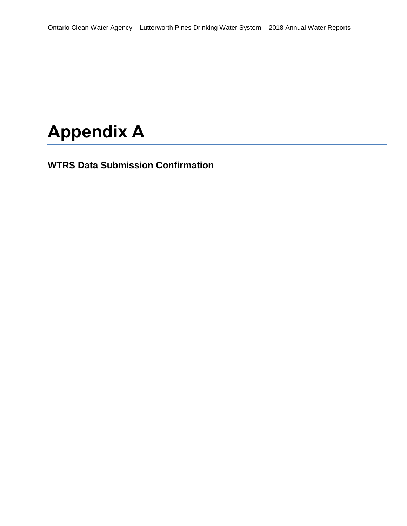# **Appendix A**

**WTRS Data Submission Confirmation**